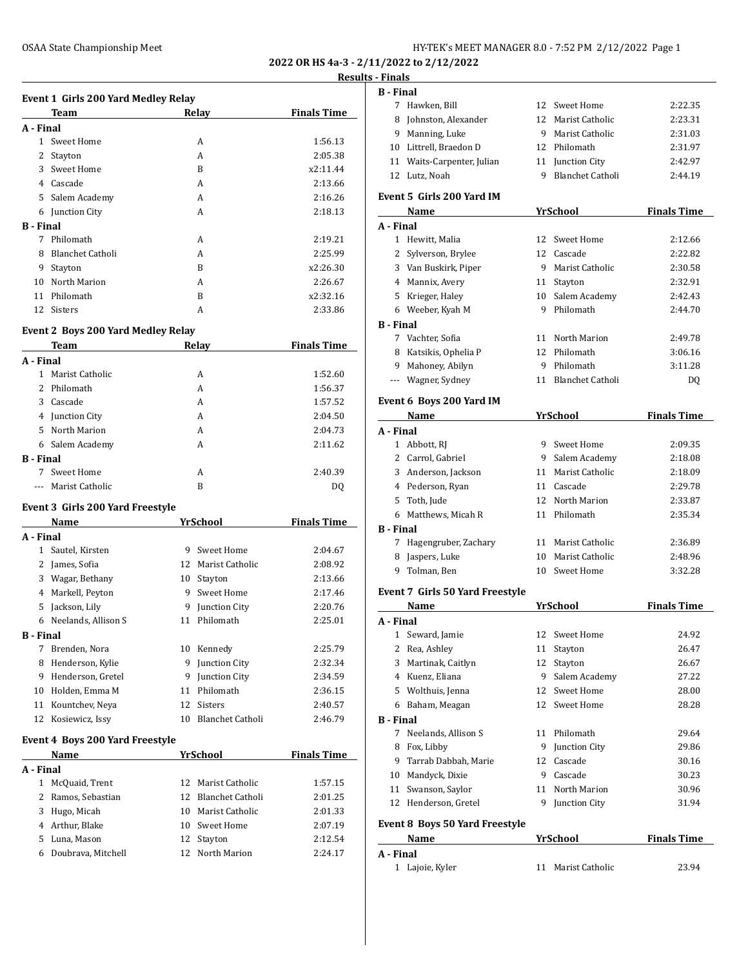**2022 OR HS 4a-3 - 2/11/2022 to 2/12/2022 Results - Finals**

# **Event 1 Girls 200 Yard Medley Relay**

|                  | Team                    | Relay | <b>Finals Time</b> |
|------------------|-------------------------|-------|--------------------|
| A - Final        |                         |       |                    |
| 1.               | Sweet Home              | A     | 1:56.13            |
| 2                | Stayton                 | A     | 2:05.38            |
| 3                | Sweet Home              | B     | x2:11.44           |
| 4                | Cascade                 | A     | 2:13.66            |
| 5                | Salem Academy           | A     | 2:16.26            |
| 6                | Junction City           | A     | 2:18.13            |
| <b>B</b> - Final |                         |       |                    |
| 7                | Philomath               | A     | 2:19.21            |
| 8                | <b>Blanchet Catholi</b> | A     | 2:25.99            |
| 9                | Stayton                 | B     | x2:26.30           |
| 10               | North Marion            | A     | 2:26.67            |
| 11               | Philomath               | B     | x2:32.16           |
| 12               | <b>Sisters</b>          | A     | 2:33.86            |

### **Event 2 Boys 200 Yard Medley Relay**

|                  | Team            | Relay | <b>Finals Time</b> |
|------------------|-----------------|-------|--------------------|
| A - Final        |                 |       |                    |
| 1                | Marist Catholic | A     | 1:52.60            |
|                  | 2 Philomath     | A     | 1:56.37            |
| 3                | Cascade         | A     | 1:57.52            |
| 4                | Junction City   | A     | 2:04.50            |
| 5.               | North Marion    | A     | 2:04.73            |
| 6                | Salem Academy   | А     | 2:11.62            |
| <b>B</b> - Final |                 |       |                    |
| 7                | Sweet Home      | A     | 2:40.39            |
|                  | Marist Catholic | B     | D0                 |

### **Event 3 Girls 200 Yard Freestyle**

|                  | Name                                   |    | <b>YrSchool</b>         | <b>Finals Time</b> |
|------------------|----------------------------------------|----|-------------------------|--------------------|
| A - Final        |                                        |    |                         |                    |
| 1                | Sautel, Kirsten                        | 9  | Sweet Home              | 2:04.67            |
| 2                | James, Sofia                           | 12 | Marist Catholic         | 2:08.92            |
| 3                | Wagar, Bethany                         | 10 | Stayton                 | 2:13.66            |
| 4                | Markell, Peyton                        | 9  | Sweet Home              | 2:17.46            |
| 5                | Jackson, Lily                          | 9  | Junction City           | 2:20.76            |
| 6                | Neelands, Allison S                    | 11 | Philomath               | 2:25.01            |
| <b>B</b> - Final |                                        |    |                         |                    |
| 7                | Brenden, Nora                          | 10 | Kennedy                 | 2:25.79            |
| 8                | Henderson, Kylie                       | 9  | Junction City           | 2:32.34            |
| 9                | Henderson, Gretel                      | 9  | Junction City           | 2:34.59            |
| 10               | Holden, Emma M                         | 11 | Philomath               | 2:36.15            |
| 11               | Kountchev, Neva                        | 12 | <b>Sisters</b>          | 2:40.57            |
| 12               | Kosiewicz, Issy                        | 10 | <b>Blanchet Catholi</b> | 2:46.79            |
|                  | <b>Event 4 Boys 200 Yard Freestyle</b> |    |                         |                    |

|           | Name               |    | YrSchool            | <b>Finals Time</b> |
|-----------|--------------------|----|---------------------|--------------------|
| A - Final |                    |    |                     |                    |
|           | McQuaid, Trent     |    | 12 Marist Catholic  | 1:57.15            |
|           | 2 Ramos, Sebastian |    | 12 Blanchet Catholi | 2:01.25            |
| 3         | Hugo, Micah        | 10 | Marist Catholic     | 2:01.33            |
|           | 4 Arthur, Blake    |    | 10 Sweet Home       | 2:07.19            |
| 5.        | Luna, Mason        |    | 12 Stayton          | 2:12.54            |
| 6         | Doubrava, Mitchell |    | 12 North Marion     | 2:24.17            |

| <u>, ,,,,,,,</u> |                                            |    |                     |                    |
|------------------|--------------------------------------------|----|---------------------|--------------------|
| <b>B</b> - Final |                                            |    |                     |                    |
|                  | 7 Hawken, Bill                             | 12 | Sweet Home          | 2:22.35            |
|                  | 8 Johnston, Alexander                      | 12 | Marist Catholic     | 2:23.31            |
|                  | 9 Manning, Luke                            | 9  | Marist Catholic     | 2:31.03            |
|                  | 10 Littrell, Braedon D                     | 12 | Philomath           | 2:31.97            |
|                  | 11 Waits-Carpenter, Julian                 |    | 11 Junction City    | 2:42.97            |
|                  | 12 Lutz, Noah                              |    | 9 Blanchet Catholi  | 2:44.19            |
|                  | Event 5 Girls 200 Yard IM                  |    |                     |                    |
|                  | Name                                       |    | YrSchool            | <b>Finals Time</b> |
| A - Final        |                                            |    |                     |                    |
|                  | 1 Hewitt, Malia                            |    | 12 Sweet Home       | 2:12.66            |
|                  | 2 Sylverson, Brylee                        |    | 12 Cascade          | 2:22.82            |
|                  | 3 Van Buskirk, Piper                       |    | 9 Marist Catholic   | 2:30.58            |
|                  | 4 Mannix, Avery                            |    | 11 Stayton          | 2:32.91            |
|                  | 5 Krieger, Haley                           | 10 | Salem Academy       | 2:42.43            |
|                  | 6 Weeber, Kyah M                           | 9  | Philomath           | 2:44.70            |
| <b>B</b> - Final |                                            |    |                     |                    |
|                  | 7 Vachter, Sofia                           |    | 11 North Marion     | 2:49.78            |
|                  |                                            | 12 | Philomath           |                    |
|                  | 8 Katsikis, Ophelia P<br>9 Mahoney, Abilyn |    |                     | 3:06.16            |
|                  |                                            |    | 9 Philomath         | 3:11.28            |
|                  | --- Wagner, Sydney                         |    | 11 Blanchet Catholi | DQ                 |
|                  | Event 6 Boys 200 Yard IM                   |    |                     |                    |
|                  | Name                                       |    | <b>YrSchool</b>     | <b>Finals Time</b> |
| A - Final        |                                            |    |                     |                    |
|                  | 1 Abbott, RJ                               |    | 9 Sweet Home        | 2:09.35            |
|                  | 2 Carrol, Gabriel                          |    | 9 Salem Academy     | 2:18.08            |
|                  | 3 Anderson, Jackson                        |    | 11 Marist Catholic  | 2:18.09            |
|                  | 4 Pederson, Ryan                           |    | 11 Cascade          | 2:29.78            |
|                  | 5 Toth, Jude                               |    | 12 North Marion     | 2:33.87            |
|                  | 6 Matthews, Micah R                        |    | 11 Philomath        | 2:35.34            |
| <b>B</b> - Final |                                            |    |                     |                    |
| 7                | Hagengruber, Zachary                       |    | 11 Marist Catholic  | 2:36.89            |
|                  | 8 Jaspers, Luke                            | 10 | Marist Catholic     | 2:48.96            |
|                  | 9 Tolman, Ben                              |    | 10 Sweet Home       | 3:32.28            |
|                  |                                            |    |                     |                    |
|                  | <b>Event 7 Girls 50 Yard Freestyle</b>     |    |                     |                    |
|                  | Name                                       |    | <b>YrSchool</b>     | <b>Finals Time</b> |
| A - Final        |                                            |    |                     |                    |
| 1                | Seward, Jamie                              | 12 | <b>Sweet Home</b>   | 24.92              |
|                  | 2 Rea, Ashley                              | 11 | Stayton             | 26.47              |
|                  | 3 Martinak, Caitlyn                        | 12 | Stayton             | 26.67              |
|                  | 4 Kuenz, Eliana                            | 9  | Salem Academy       | 27.22              |
|                  | 5 Wolthuis, Jenna                          | 12 | <b>Sweet Home</b>   | 28.00              |
|                  | 6 Baham, Meagan                            | 12 | Sweet Home          | 28.28              |
| <b>B</b> - Final |                                            |    |                     |                    |
| 7                | Neelands, Allison S                        | 11 | Philomath           | 29.64              |
|                  | 8 Fox, Libby                               |    | 9 Junction City     | 29.86              |
|                  | 9 Tarrab Dabbah, Marie                     |    | 12 Cascade          | 30.16              |
|                  | 10 Mandyck, Dixie                          |    | 9 Cascade           | 30.23              |
|                  | 11 Swanson, Saylor                         | 11 | North Marion        | 30.96              |
|                  | 12 Henderson, Gretel                       | 9  | Junction City       | 31.94              |
|                  | <b>Event 8 Boys 50 Yard Freestyle</b>      |    |                     |                    |
|                  | Name                                       |    | <b>YrSchool</b>     | <b>Finals Time</b> |
| A - Final        |                                            |    |                     |                    |
| 1                | Lajoie, Kyler                              | 11 | Marist Catholic     | 23.94              |
|                  |                                            |    |                     |                    |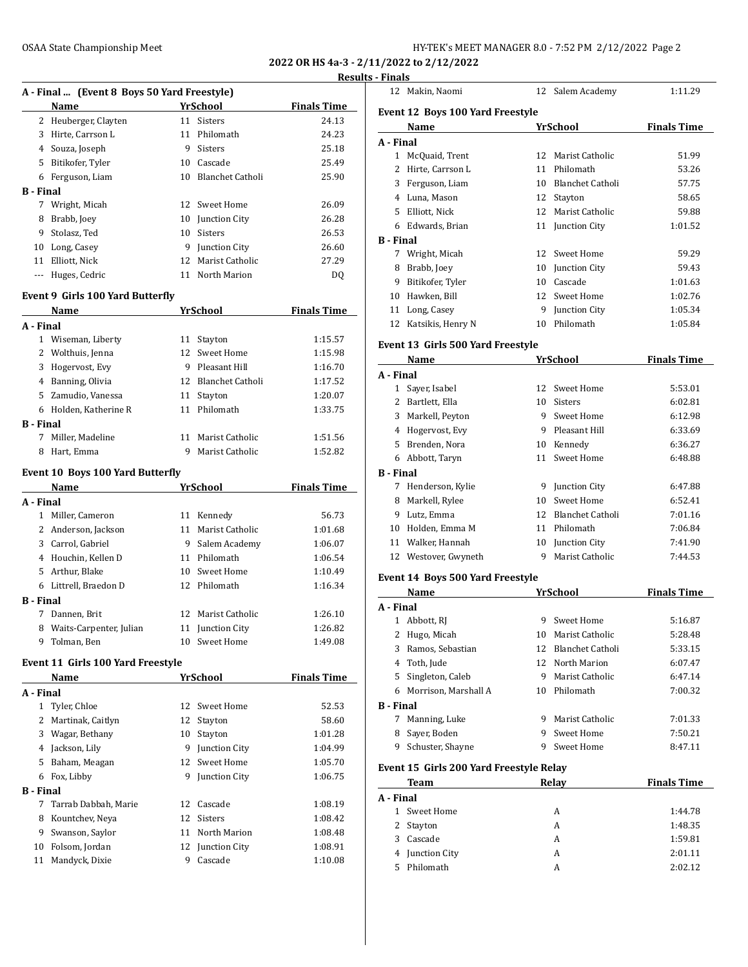**2022 OR HS 4a-3 - 2/11/2022 to 2/12/2022**

## **Results - Finals**

|                  |                                             |    |                     | Resu               |
|------------------|---------------------------------------------|----|---------------------|--------------------|
|                  | A - Final  (Event 8 Boys 50 Yard Freestyle) |    |                     |                    |
|                  | Name                                        |    | <b>YrSchool</b>     | <b>Finals Time</b> |
|                  | 2 Heuberger, Clayten                        |    | 11 Sisters          | 24.13              |
|                  | 3 Hirte, Carrson L                          |    | 11 Philomath        | 24.23              |
|                  | 4 Souza, Joseph                             |    | 9 Sisters           | 25.18              |
|                  | 5 Bitikofer, Tyler                          |    | 10 Cascade          | 25.49              |
|                  | 6 Ferguson, Liam                            |    | 10 Blanchet Catholi | 25.90              |
| <b>B</b> - Final |                                             |    |                     |                    |
|                  | 7 Wright, Micah                             |    | 12 Sweet Home       | 26.09              |
|                  | 8 Brabb, Joey                               |    | 10 Junction City    | 26.28              |
|                  | 9 Stolasz, Ted                              |    | 10 Sisters          | 26.53              |
|                  | 10 Long, Casey                              |    | 9 Junction City     | 26.60              |
|                  | 11 Elliott, Nick                            | 12 | Marist Catholic     | 27.29              |
| $\cdots$         | Huges, Cedric                               |    | 11 North Marion     | DQ                 |
|                  | Event 9 Girls 100 Yard Butterfly            |    |                     |                    |
|                  | Name                                        |    | <b>YrSchool</b>     | <b>Finals Time</b> |
| A - Final        |                                             |    |                     |                    |
|                  | 1 Wiseman, Liberty                          |    | 11 Stayton          | 1:15.57            |
|                  | 2 Wolthuis, Jenna                           |    | 12 Sweet Home       | 1:15.98            |
|                  | 3 Hogervost, Evy                            |    | 9 Pleasant Hill     | 1:16.70            |
|                  | 4 Banning, Olivia                           |    | 12 Blanchet Catholi | 1:17.52            |
|                  | 5 Zamudio, Vanessa                          |    | 11 Stayton          | 1:20.07            |
|                  | 6 Holden, Katherine R                       |    | 11 Philomath        | 1:33.75            |
| <b>B</b> - Final |                                             |    |                     |                    |
| 7                | Miller, Madeline                            |    | 11 Marist Catholic  | 1:51.56            |
| 8                | Hart, Emma                                  | 9  | Marist Catholic     | 1:52.82            |
|                  |                                             |    |                     |                    |
|                  | <b>Event 10 Boys 100 Yard Butterfly</b>     |    |                     |                    |
|                  | Name                                        |    | YrSchool            | <b>Finals Time</b> |
| A - Final        |                                             |    |                     |                    |
|                  | 1 Miller, Cameron                           |    | 11 Kennedy          | 56.73              |
|                  | 2 Anderson, Jackson                         |    | 11 Marist Catholic  | 1:01.68            |
|                  | 3 Carrol, Gabriel                           |    | 9 Salem Academy     | 1:06.07            |
|                  | 4 Houchin, Kellen D                         |    | 11 Philomath        | 1:06.54            |
|                  | 5 Arthur, Blake                             |    | 10 Sweet Home       | 1:10.49            |
|                  | 6 Littrell, Braedon D                       |    | 12 Philomath        | 1:16.34            |
| <b>B</b> - Final |                                             |    |                     |                    |
| $7^{\circ}$      | Dannen. Brit                                |    | 12 Marist Catholic  | 1:26.10            |
| 8                | Waits-Carpenter, Julian                     | 11 | Junction City       | 1:26.82            |
| 9                | Tolman, Ben                                 | 10 | Sweet Home          | 1:49.08            |
|                  | <b>Event 11 Girls 100 Yard Freestyle</b>    |    |                     |                    |
|                  | Name                                        |    | <b>YrSchool</b>     | <b>Finals Time</b> |
| A - Final        |                                             |    |                     |                    |
| $\mathbf{1}$     | Tyler, Chloe                                | 12 | Sweet Home          | 52.53              |
| 2                | Martinak, Caitlyn                           | 12 |                     | 58.60              |
|                  |                                             |    | Stayton             |                    |
| 3                | Wagar, Bethany                              | 10 | Stayton             | 1:01.28            |
|                  | 4 Jackson, Lily                             |    | 9 Junction City     | 1:04.99            |
| 5                | Baham, Meagan                               | 12 | Sweet Home          | 1:05.70            |
| 6                | Fox, Libby                                  | 9. | Junction City       | 1:06.75            |
| <b>B</b> - Final |                                             |    |                     |                    |
| 7                | Tarrab Dabbah, Marie                        | 12 | Cascade             | 1:08.19            |
| 8                | Kountchev, Neya                             | 12 | Sisters             | 1:08.42            |
| 9                | Swanson, Saylor                             | 11 | North Marion        | 1:08.48            |
| 10               | Folsom, Jordan                              | 12 | Junction City       | 1:08.91            |
| 11               | Mandyck, Dixie                              | 9  | Cascade             | 1:10.08            |
|                  |                                             |    |                     |                    |

|                       | 12 Makin, Naomi                           |    | 12 Salem Academy                      | 1:11.29            |
|-----------------------|-------------------------------------------|----|---------------------------------------|--------------------|
|                       | <b>Event 12 Boys 100 Yard Freestyle</b>   |    |                                       |                    |
|                       | Name                                      |    | YrSchool                              | <b>Finals Time</b> |
| A - Final             |                                           |    |                                       |                    |
|                       | 1 McQuaid, Trent                          |    | 12 Marist Catholic                    | 51.99              |
|                       | 2 Hirte, Carrson L                        | 11 | Philomath                             | 53.26              |
|                       | 3 Ferguson, Liam                          |    | 10 Blanchet Catholi                   | 57.75              |
|                       | 4 Luna, Mason                             |    | 12 Stayton                            | 58.65              |
|                       | 5 Elliott, Nick                           |    | 12 Marist Catholic                    | 59.88              |
|                       | 6 Edwards, Brian                          |    | 11 Junction City                      | 1:01.52            |
| <b>B</b> - Final      |                                           |    |                                       |                    |
|                       | 7 Wright, Micah                           |    | 12 Sweet Home                         | 59.29              |
|                       | 8 Brabb, Joey                             |    | 10 Junction City                      | 59.43              |
|                       | 9 Bitikofer, Tyler                        |    | 10 Cascade                            | 1:01.63            |
|                       | 10 Hawken, Bill                           |    | 12 Sweet Home                         | 1:02.76            |
|                       | 11 Long, Casey                            |    | 9 Junction City                       | 1:05.34            |
|                       | 12 Katsikis, Henry N                      |    | 10 Philomath                          | 1:05.84            |
|                       | Event 13 Girls 500 Yard Freestyle         |    |                                       |                    |
|                       | Name                                      |    | YrSchool                              | <b>Finals Time</b> |
| A - Final             |                                           |    |                                       |                    |
|                       | 1 Sayer, Isabel                           |    | 12 Sweet Home                         | 5:53.01            |
|                       | 2 Bartlett, Ella                          |    | 10 Sisters                            | 6:02.81            |
|                       | 3 Markell, Peyton                         |    | 9 Sweet Home                          | 6:12.98            |
|                       | 4 Hogervost, Evy                          |    | 9 Pleasant Hill                       | 6:33.69            |
|                       | 5 Brenden, Nora                           |    | 10 Kennedy                            | 6:36.27            |
|                       | 6 Abbott, Taryn                           |    | 11 Sweet Home                         | 6:48.88            |
| <b>B</b> - Final      |                                           |    |                                       |                    |
|                       | 7 Henderson, Kylie                        |    | 9 Junction City                       | 6:47.88            |
| 8                     | Markell, Rylee                            |    | 10 Sweet Home                         | 6:52.41            |
|                       | 9 Lutz, Emma                              |    | 12 Blanchet Catholi                   | 7:01.16            |
|                       | 10 Holden, Emma M                         |    | 11 Philomath                          | 7:06.84            |
|                       | 11 Walker, Hannah<br>12 Westover, Gwyneth |    | 10 Junction City<br>9 Marist Catholic | 7:41.90<br>7:44.53 |
|                       |                                           |    |                                       |                    |
|                       | Event 14 Boys 500 Yard Freestyle          |    |                                       |                    |
|                       | Name                                      |    | YrSchool                              | <b>Finals Time</b> |
| A - Final             |                                           |    |                                       |                    |
|                       | 1 Abbott, RJ                              | 9  | Sweet Home                            | 5:16.87            |
| 2                     | Hugo, Micah                               | 10 | Marist Catholic                       | 5:28.48            |
| 3                     | Ramos, Sebastian                          | 12 | Blanchet Catholi                      | 5:33.15            |
|                       | 4 Toth, Jude                              | 12 | North Marion                          | 6:07.47            |
|                       | 5 Singleton, Caleb                        |    | 9 Marist Catholic<br>10 Philomath     | 6:47.14            |
|                       | 6 Morrison, Marshall A                    |    |                                       | 7:00.32            |
| <b>B</b> - Final<br>7 | Manning, Luke                             |    | 9 Marist Catholic                     | 7:01.33            |
|                       | 8 Sayer, Boden                            |    | 9 Sweet Home                          | 7:50.21            |
|                       | 9 Schuster, Shayne                        |    | 9 Sweet Home                          | 8:47.11            |
|                       |                                           |    |                                       |                    |
|                       | Event 15 Girls 200 Yard Freestyle Relay   |    |                                       |                    |
|                       | Team                                      |    | <b>Relay</b>                          | <b>Finals Time</b> |
| A - Final             |                                           |    |                                       |                    |
|                       | 1 Sweet Home                              |    | A                                     | 1:44.78            |
|                       | 2 Stayton                                 |    | A                                     | 1:48.35            |
|                       | 3 Cascade                                 |    | A                                     | 1:59.81            |
|                       | 4 Junction City                           |    | A                                     | 2:01.11            |
|                       | 5 Philomath                               |    | A                                     | 2:02.12            |
|                       |                                           |    |                                       |                    |